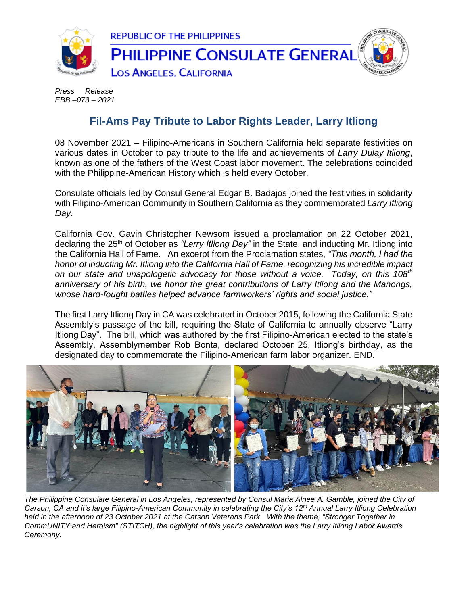

*Press Release EBB –073 – 2021*

## **Fil-Ams Pay Tribute to Labor Rights Leader, Larry Itliong**

08 November 2021 – Filipino-Americans in Southern California held separate festivities on various dates in October to pay tribute to the life and achievements of *Larry Dulay Itliong*, known as one of the fathers of the West Coast labor movement. The celebrations coincided with the Philippine-American History which is held every October.

Consulate officials led by Consul General Edgar B. Badajos joined the festivities in solidarity with Filipino-American Community in Southern California as they commemorated *Larry Itliong Day.*

California Gov. Gavin Christopher Newsom issued a proclamation on 22 October 2021, declaring the 25th of October as *"Larry Itliong Day"* in the State, and inducting Mr. Itliong into the California Hall of Fame. An excerpt from the Proclamation states, *"This month, I had the honor of inducting Mr. Itliong into the California Hall of Fame, recognizing his incredible impact on our state and unapologetic advocacy for those without a voice. Today, on this 108th anniversary of his birth, we honor the great contributions of Larry Itliong and the Manongs, whose hard-fought battles helped advance farmworkers' rights and social justice."*

The first Larry Itliong Day in CA was celebrated in October 2015, following the California State Assembly's passage of the bill, requiring the State of California to annually observe "Larry Itliong Day". The bill, which was authored by the first Filipino-American elected to the state's Assembly, Assemblymember Rob Bonta, declared October 25, Itliong's birthday, as the designated day to commemorate the Filipino-American farm labor organizer. END.



*The Philippine Consulate General in Los Angeles, represented by Consul Maria Alnee A. Gamble, joined the City of Carson, CA and it's large Filipino-American Community in celebrating the City's 12th Annual Larry Itliong Celebration held in the afternoon of 23 October 2021 at the Carson Veterans Park. With the theme, "Stronger Together in CommUNITY and Heroism" (STITCH), the highlight of this year's celebration was the Larry Itliong Labor Awards Ceremony.*